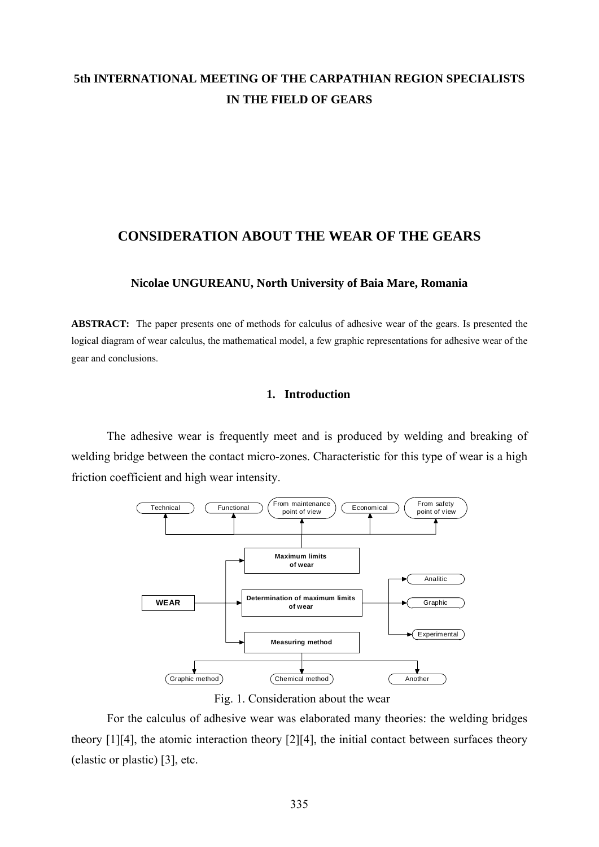# **5th INTERNATIONAL MEETING OF THE CARPATHIAN REGION SPECIALISTS IN THE FIELD OF GEARS**

# **CONSIDERATION ABOUT THE WEAR OF THE GEARS**

## **Nicolae UNGUREANU, North University of Baia Mare, Romania**

**ABSTRACT:** The paper presents one of methods for calculus of adhesive wear of the gears. Is presented the logical diagram of wear calculus, the mathematical model, a few graphic representations for adhesive wear of the gear and conclusions.

## **1. Introduction**

 The adhesive wear is frequently meet and is produced by welding and breaking of welding bridge between the contact micro-zones. Characteristic for this type of wear is a high friction coefficient and high wear intensity.



Fig. 1. Consideration about the wear

 For the calculus of adhesive wear was elaborated many theories: the welding bridges theory [1][4], the atomic interaction theory [2][4], the initial contact between surfaces theory (elastic or plastic) [3], etc.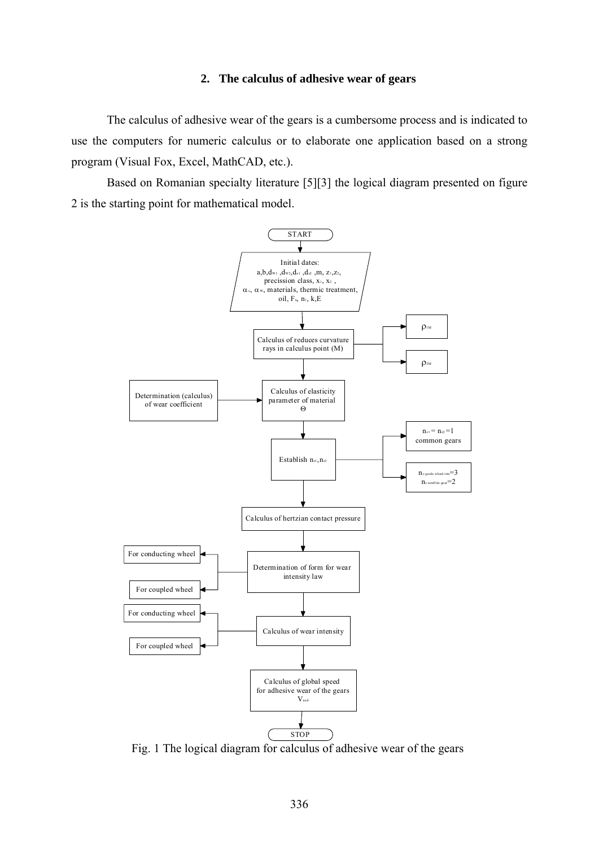#### **2. The calculus of adhesive wear of gears**

 The calculus of adhesive wear of the gears is a cumbersome process and is indicated to use the computers for numeric calculus or to elaborate one application based on a strong program (Visual Fox, Excel, MathCAD, etc.).

 Based on Romanian specialty literature [5][3] the logical diagram presented on figure 2 is the starting point for mathematical model.



Fig. 1 The logical diagram for calculus of adhesive wear of the gears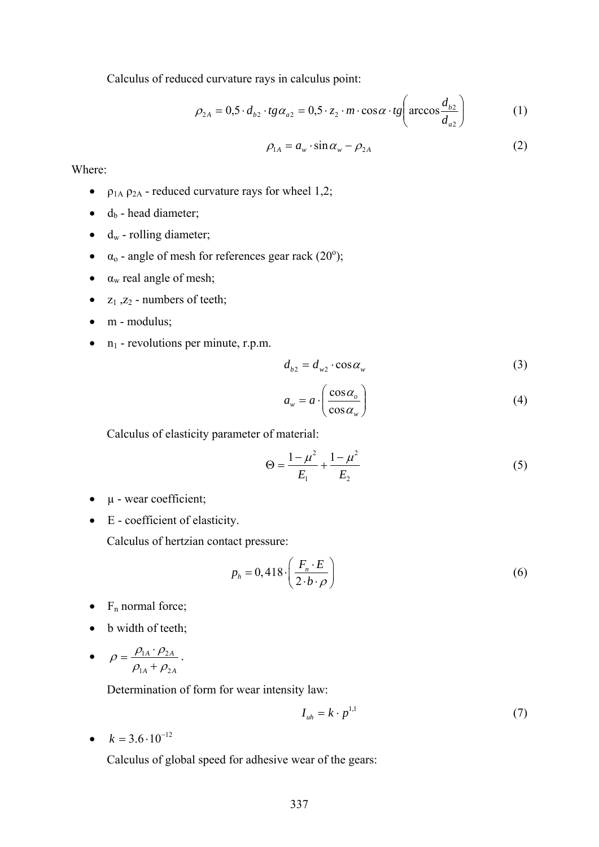Calculus of reduced curvature rays in calculus point:

$$
\rho_{2A} = 0.5 \cdot d_{b2} \cdot tg \alpha_{a2} = 0.5 \cdot z_2 \cdot m \cdot \cos \alpha \cdot tg \left(\arccos \frac{d_{b2}}{d_{a2}}\right) \tag{1}
$$

$$
\rho_{1A} = a_w \cdot \sin \alpha_w - \rho_{2A} \tag{2}
$$

Where:

- $\rho_{1A}$   $\rho_{2A}$  reduced curvature rays for wheel 1,2;
- $\bullet$  d<sub>b</sub> head diameter;
- $\bullet$  d<sub>w</sub> rolling diameter;
- $\alpha_0$  angle of mesh for references gear rack (20<sup>o</sup>);
- $\bullet$   $\alpha_w$  real angle of mesh;
- $z_1$ ,  $z_2$  numbers of teeth;
- m modulus;
- $n_1$  revolutions per minute, r.p.m.

$$
d_{b2} = d_{w2} \cdot \cos \alpha_w \tag{3}
$$

$$
a_w = a \cdot \left(\frac{\cos \alpha_o}{\cos \alpha_w}\right) \tag{4}
$$

Calculus of elasticity parameter of material:

$$
\Theta = \frac{1 - \mu^2}{E_1} + \frac{1 - \mu^2}{E_2} \tag{5}
$$

- $\bullet$   $\mu$  wear coefficient;
- E coefficient of elasticity.

Calculus of hertzian contact pressure:

$$
p_h = 0,418 \cdot \left(\frac{F_n \cdot E}{2 \cdot b \cdot \rho}\right) \tag{6}
$$

- $F_n$  normal force;
- b width of teeth;
- $_A$   $\cdot$   $\mu_{2A}$ *A*<sup> $P_{2A}$ </sup>  $1_A$   $\mu_2$  $\mu_1$   $\mu_2$  $\rho_{\scriptscriptstyle 1A}^{} + \rho_{\scriptscriptstyle 2}^{}$  $\rho = \frac{\rho_{\rm 1A} \cdot \rho_{\rm 2}}{2}$ +  $=\frac{\rho_{1A}\cdot\rho_{2A}}{\rho_{1A}\cdot\rho_{2A}}$ .

Determination of form for wear intensity law:

$$
I_{uh} = k \cdot p^{1,1} \tag{7}
$$

•  $k = 3.6 \cdot 10^{-12}$ 

Calculus of global speed for adhesive wear of the gears: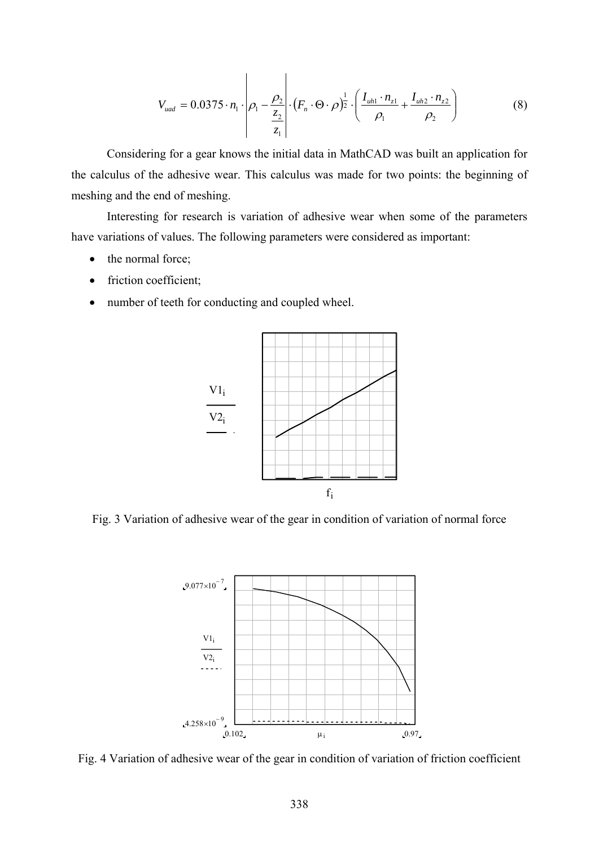$$
V_{uad} = 0.0375 \cdot n_1 \cdot \left| \rho_1 - \frac{\rho_2}{\frac{z_2}{z_1}} \right| \cdot (F_n \cdot \Theta \cdot \rho)^{\frac{1}{2}} \cdot \left( \frac{I_{uh1} \cdot n_{z1}}{\rho_1} + \frac{I_{uh2} \cdot n_{z2}}{\rho_2} \right)
$$
(8)

 Considering for a gear knows the initial data in MathCAD was built an application for the calculus of the adhesive wear. This calculus was made for two points: the beginning of meshing and the end of meshing.

 Interesting for research is variation of adhesive wear when some of the parameters have variations of values. The following parameters were considered as important:

- the normal force;
- friction coefficient;
- number of teeth for conducting and coupled wheel.



Fig. 3 Variation of adhesive wear of the gear in condition of variation of normal force



Fig. 4 Variation of adhesive wear of the gear in condition of variation of friction coefficient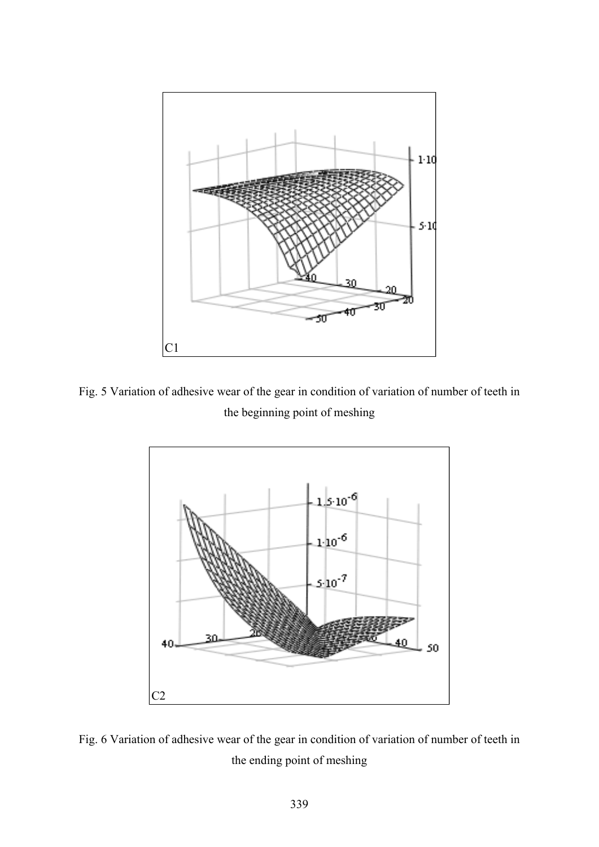

Fig. 5 Variation of adhesive wear of the gear in condition of variation of number of teeth in the beginning point of meshing



Fig. 6 Variation of adhesive wear of the gear in condition of variation of number of teeth in the ending point of meshing